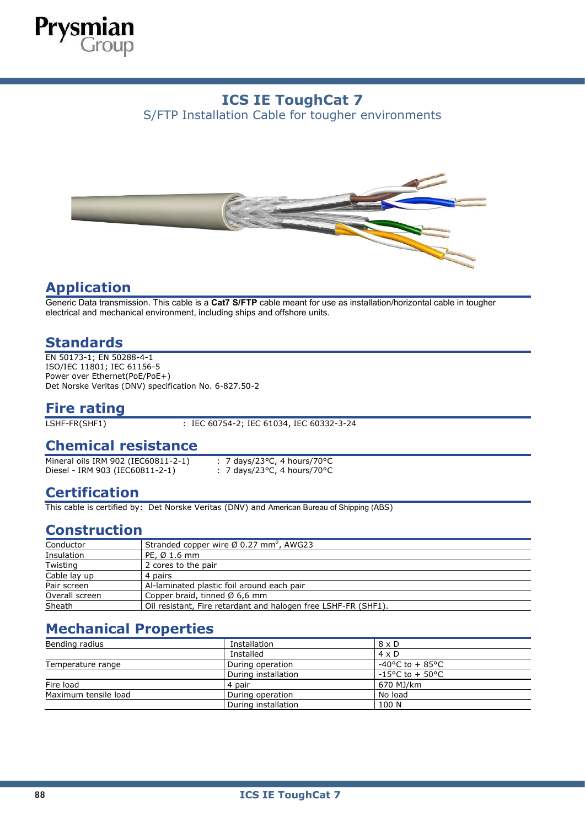

# **ICS IE ToughCat 7**

S/FTP Installation Cable for tougher environments



## **Application**

Generic Data transmission. This cable is a **Cat7 S/FTP** cable meant for use as installation/horizontal cable in tougher electrical and mechanical environment, including ships and offshore units.

### **Standards**

EN 50173-1; EN 50288-4-1 ISO/IEC 11801; IEC 61156-5 Power over Ethernet(PoE/PoE+) Det Norske Veritas (DNV) specification No. 6-827.50-2

# **Fire rating**

: IEC 60754-2; IEC 61034, IEC 60332-3-24

#### **Chemical resistance**

Mineral oils IRM 902 (IEC60811-2-1) : 7 days/23°C, 4 hours/70°C Diesel - IRM 903 (IEC60811-2-1) : 7 days/23°C, 4 hours/70°C

## **Certification**

This cable is certified by: Det Norske Veritas (DNV) and American Bureau of Shipping (ABS)

#### **Construction**

| Conductor      | Stranded copper wire $\varnothing$ 0.27 mm <sup>2</sup> , AWG23 |
|----------------|-----------------------------------------------------------------|
| Insulation     | PE, $\varnothing$ 1.6 mm                                        |
| Twisting       | 2 cores to the pair                                             |
| Cable lay up   | 4 pairs                                                         |
| Pair screen    | Al-laminated plastic foil around each pair                      |
| Overall screen | Copper braid, tinned $\varnothing$ 6,6 mm                       |
| Sheath         | Oil resistant, Fire retardant and halogen free LSHF-FR (SHF1).  |

## **Mechanical Properties**

| Bending radius       | Installation        | $8 \times D$               |
|----------------------|---------------------|----------------------------|
|                      | Installed           | $4 \times D$               |
| Temperature range    | During operation    | -40°C to + 85°C            |
|                      | During installation | $-15^{\circ}$ C to + 50 °C |
| Fire load            | 4 pair              | 670 MJ/km                  |
| Maximum tensile load | During operation    | No load                    |
|                      | During installation | 100 N                      |